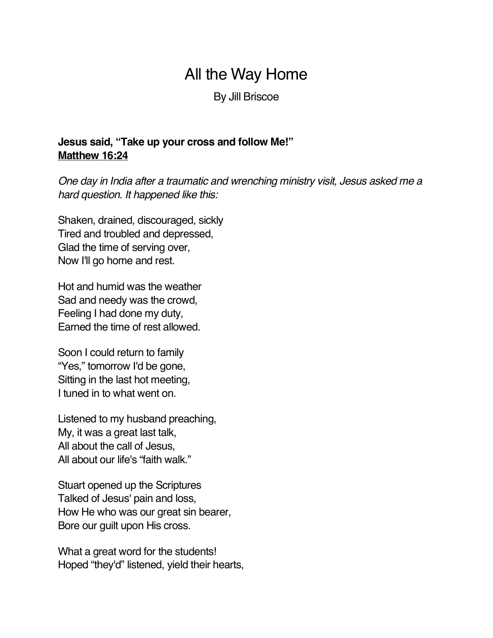## All the Way Home

By Jill Briscoe

**Jesus said, "Take up your cross and follow Me!" Matthew 16:24**

*One day in India after a traumatic and wrenching ministry visit, Jesus asked me a hard question. It happened like this:*

Shaken, drained, discouraged, sickly Tired and troubled and depressed, Glad the time of serving over, Now I'll go home and rest.

Hot and humid was the weather Sad and needy was the crowd, Feeling I had done my duty, Earned the time of rest allowed.

Soon I could return to family "Yes," tomorrow I'd be gone, Sitting in the last hot meeting, I tuned in to what went on.

Listened to my husband preaching, My, it was a great last talk, All about the call of Jesus, All about our life's "faith walk."

Stuart opened up the Scriptures Talked of Jesus' pain and loss, How He who was our great sin bearer, Bore our guilt upon His cross.

What a great word for the students! Hoped "they'd" listened, yield their hearts,